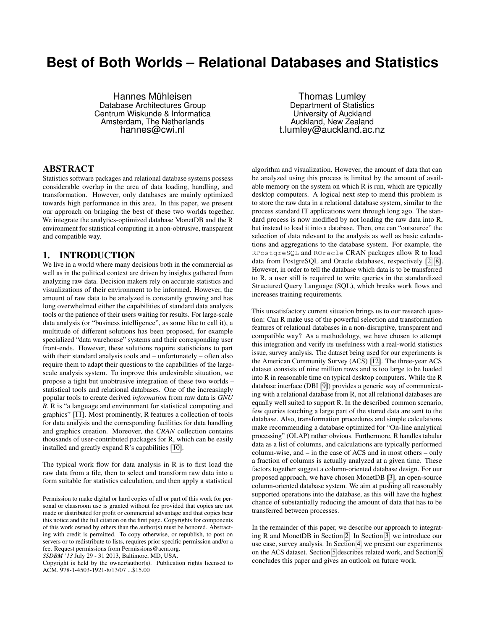# **Best of Both Worlds – Relational Databases and Statistics**

Hannes Mühleisen Database Architectures Group Centrum Wiskunde & Informatica Amsterdam, The Netherlands hannes@cwi.nl

Thomas Lumley Department of Statistics University of Auckland Auckland, New Zealand t.lumley@auckland.ac.nz

#### ABSTRACT

Statistics software packages and relational database systems possess considerable overlap in the area of data loading, handling, and transformation. However, only databases are mainly optimized towards high performance in this area. In this paper, we present our approach on bringing the best of these two worlds together. We integrate the analytics-optimized database MonetDB and the R environment for statistical computing in a non-obtrusive, transparent and compatible way.

### 1. INTRODUCTION

We live in a world where many decisions both in the commercial as well as in the political context are driven by insights gathered from analyzing raw data. Decision makers rely on accurate statistics and visualizations of their environment to be informed. However, the amount of raw data to be analyzed is constantly growing and has long overwhelmed either the capabilities of standard data analysis tools or the patience of their users waiting for results. For large-scale data analysis (or "business intelligence", as some like to call it), a multitude of different solutions has been proposed, for example specialized "data warehouse" systems and their corresponding user front-ends. However, these solutions require statisticians to part with their standard analysis tools and – unfortunately – often also require them to adapt their questions to the capabilities of the largescale analysis system. To improve this undesirable situation, we propose a tight but unobtrusive integration of these two worlds – statistical tools and relational databases. One of the increasingly popular tools to create derived *information* from raw data is *GNU R*. R is "a language and environment for statistical computing and graphics" [\[11\]](#page-3-0). Most prominently, R features a collection of tools for data analysis and the corresponding facilities for data handling and graphics creation. Moreover, the *CRAN* collection contains thousands of user-contributed packages for R, which can be easily installed and greatly expand R's capabilities [\[10\]](#page-3-1).

The typical work flow for data analysis in R is to first load the raw data from a file, then to select and transform raw data into a form suitable for statistics calculation, and then apply a statistical

*SSDBM '13* July 29 - 31 2013, Baltimore, MD, USA.

algorithm and visualization. However, the amount of data that can be analyzed using this process is limited by the amount of available memory on the system on which R is run, which are typically desktop computers. A logical next step to mend this problem is to store the raw data in a relational database system, similar to the process standard IT applications went through long ago. The standard process is now modified by not loading the raw data into R, but instead to load it into a database. Then, one can "outsource" the selection of data relevant to the analysis as well as basic calculations and aggregations to the database system. For example, the RPostgreSQL and ROracle CRAN packages allow R to load data from PostgreSQL and Oracle databases, respectively [\[2,](#page-3-2) [8\]](#page-3-3). However, in order to tell the database which data is to be transferred to R, a user still is required to write queries in the standardized Structured Query Language (SQL), which breaks work flows and increases training requirements.

This unsatisfactory current situation brings us to our research question: Can R make use of the powerful selection and transformation features of relational databases in a non-disruptive, transparent and compatible way? As a methodology, we have chosen to attempt this integration and verify its usefulness with a real-world statistics issue, survey analysis. The dataset being used for our experiments is the American Community Survey (ACS) [\[12\]](#page-3-4). The three-year ACS dataset consists of nine million rows and is too large to be loaded into R in reasonable time on typical desktop computers. While the R database interface (DBI [\[9\]](#page-3-5)) provides a generic way of communicating with a relational database from R, not all relational databases are equally well suited to support R. In the described common scenario, few queries touching a large part of the stored data are sent to the database. Also, transformation procedures and simple calculations make recommending a database optimized for "On-line analytical processing" (OLAP) rather obvious. Furthermore, R handles tabular data as a list of columns, and calculations are typically performed column-wise, and – in the case of ACS and in most others – only a fraction of columns is actually analyzed at a given time. These factors together suggest a column-oriented database design. For our proposed approach, we have chosen MonetDB [\[3\]](#page-3-6), an open-source column-oriented database system. We aim at pushing all reasonably supported operations into the database, as this will have the highest chance of substantially reducing the amount of data that has to be transferred between processes.

In the remainder of this paper, we describe our approach to integrating R and MonetDB in Section [2.](#page-1-0) In Section [3,](#page-2-0) we introduce our use case, survey analysis. In Section [4,](#page-2-1) we present our experiments on the ACS dataset. Section [5](#page-3-7) describes related work, and Section [6](#page-3-8) concludes this paper and gives an outlook on future work.

Permission to make digital or hard copies of all or part of this work for personal or classroom use is granted without fee provided that copies are not made or distributed for profit or commercial advantage and that copies bear this notice and the full citation on the first page. Copyrights for components of this work owned by others than the author(s) must be honored. Abstracting with credit is permitted. To copy otherwise, or republish, to post on servers or to redistribute to lists, requires prior specific permission and/or a fee. Request permissions from Permissions@acm.org.

Copyright is held by the owner/author(s). Publication rights licensed to ACM. 978-1-4503-1921-8/13/07 ...\$15.00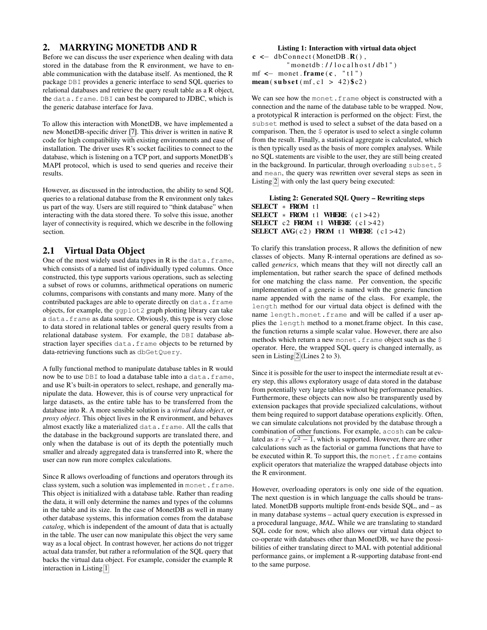# <span id="page-1-0"></span>2. MARRYING MONETDB AND R

Before we can discuss the user experience when dealing with data stored in the database from the R environment, we have to enable communication with the database itself. As mentioned, the R package DBI provides a generic interface to send SQL queries to relational databases and retrieve the query result table as a R object, the data.frame. DBI can best be compared to JDBC, which is the generic database interface for Java.

To allow this interaction with MonetDB, we have implemented a new MonetDB-specific driver [\[7\]](#page-3-9). This driver is written in native R code for high compatibility with existing environments and ease of installation. The driver uses R's socket facilities to connect to the database, which is listening on a TCP port, and supports MonetDB's MAPI protocol, which is used to send queries and receive their results.

However, as discussed in the introduction, the ability to send SQL queries to a relational database from the R environment only takes us part of the way. Users are still required to "think database" when interacting with the data stored there. To solve this issue, another layer of connectivity is required, which we describe in the following section.

# 2.1 Virtual Data Object

One of the most widely used data types in  $R$  is the data.frame, which consists of a named list of individually typed columns. Once constructed, this type supports various operations, such as selecting a subset of rows or columns, arithmetical operations on numeric columns, comparisons with constants and many more. Many of the contributed packages are able to operate directly on data.frame objects, for example, the ggplot2 graph plotting library can take a data.frame as data source. Obviously, this type is very close to data stored in relational tables or general query results from a relational database system. For example, the DBI database abstraction layer specifies data.frame objects to be returned by data-retrieving functions such as dbGetQuery.

A fully functional method to manipulate database tables in R would now be to use DBI to load a database table into a data.frame, and use R's built-in operators to select, reshape, and generally manipulate the data. However, this is of course very unpractical for large datasets, as the entire table has to be transferred from the database into R. A more sensible solution is a *virtual data object*, or *proxy object*. This object lives in the R environment, and behaves almost exactly like a materialized data.frame. All the calls that the database in the background supports are translated there, and only when the database is out of its depth the potentially much smaller and already aggregated data is transferred into R, where the user can now run more complex calculations.

Since R allows overloading of functions and operators through its class system, such a solution was implemented in monet.frame. This object is initialized with a database table. Rather than reading the data, it will only determine the names and types of the columns in the table and its size. In the case of MonetDB as well in many other database systems, this information comes from the database *catalog*, which is independent of the amount of data that is actually in the table. The user can now manipulate this object the very same way as a local object. In contrast however, her actions do not trigger actual data transfer, but rather a reformulation of the SQL query that backs the virtual data object. For example, consider the example R interaction in Listing [1:](#page-1-1)

### <span id="page-1-1"></span>Listing 1: Interaction with virtual data object  $c \leftarrow dbConnect(MonetDB.R()$ ,

 $"$  monetdb://localhost/db1") mf  $\leftarrow$  monet . frame  $(c, "t1")$  $mean(subset(mf, c1 > 42)$ \$c2)

We can see how the monet.frame object is constructed with a connection and the name of the database table to be wrapped. Now, a prototypical R interaction is performed on the object: First, the subset method is used to select a subset of the data based on a comparison. Then, the  $\frac{1}{2}$  operator is used to select a single column from the result. Finally, a statistical aggregate is calculated, which is then typically used as the basis of more complex analyses. While no SQL statements are visible to the user, they are still being created in the background. In particular, through overloading subset, \$ and mean, the query was rewritten over several steps as seen in Listing [2,](#page-1-2) with only the last query being executed:

<span id="page-1-2"></span>Listing 2: Generated SQL Query – Rewriting steps SELECT \* FROM t1 SELECT  $*$  FROM t1 WHERE  $(c1>42)$ SELECT c2 FROM  $t1$  WHERE  $(c1>42)$ SELECT AVG( $c2$ ) FROM t1 WHERE ( $c1 > 42$ )

To clarify this translation process, R allows the definition of new classes of objects. Many R-internal operations are defined as socalled *generics*, which means that they will not directly call an implementation, but rather search the space of defined methods for one matching the class name. Per convention, the specific implementation of a generic is named with the generic function name appended with the name of the class. For example, the length method for our virtual data object is defined with the name length.monet.frame and will be called if a user applies the length method to a monet.frame object. In this case, the function returns a simple scalar value. However, there are also methods which return a new monet. frame object such as the  $$$ operator. Here, the wrapped SQL query is changed internally, as seen in Listing [2](#page-1-2) (Lines 2 to 3).

Since it is possible for the user to inspect the intermediate result at every step, this allows exploratory usage of data stored in the database from potentially very large tables without big performance penalties. Furthermore, these objects can now also be transparently used by extension packages that provide specialized calculations, without them being required to support database operations explicitly. Often, we can simulate calculations not provided by the database through a combination of other functions. For example, acosh can be calcu-√ lated as  $x + \sqrt{x^2 - 1}$ , which is supported. However, there are other calculations such as the factorial or gamma functions that have to be executed within R. To support this, the monet. frame contains explicit operators that materialize the wrapped database objects into the R environment.

However, overloading operators is only one side of the equation. The next question is in which language the calls should be translated. MonetDB supports multiple front-ends beside SQL, and – as in many database systems – actual query execution is expressed in a procedural language, *MAL*. While we are translating to standard SQL code for now, which also allows our virtual data object to co-operate with databases other than MonetDB, we have the possibilities of either translating direct to MAL with potential additional performance gains, or implement a R-supporting database front-end to the same purpose.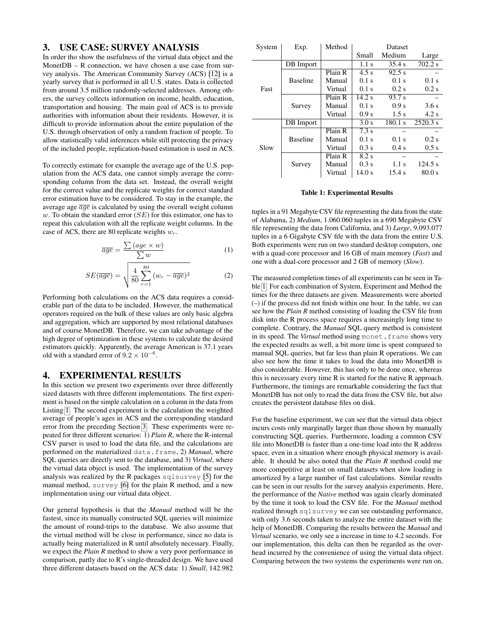#### <span id="page-2-0"></span>3. USE CASE: SURVEY ANALYSIS

In order tho show the usefulness of the virtual data object and the MonetDB – R connection, we have chosen a use case from survey analysis. The American Community Survey (ACS) [\[12\]](#page-3-4) is a yearly survey that is performed in all U.S. states. Data is collected from around 3.5 million randomly-selected addresses. Among others, the survey collects information on income, health, education, transportation and housing. The main goal of ACS is to provide authorities with information about their residents. However, it is difficult to provide information about the entire population of the U.S. through observation of only a random fraction of people. To allow statistically valid inferences while still protecting the privacy of the included people, replication-based estimation is used in ACS.

To correctly estimate for example the average age of the U.S. population from the ACS data, one cannot simply average the corresponding column from the data set. Instead, the overall weight for the correct value and the replicate weights for correct standard error estimation have to be considered. To stay in the example, the average age  $\overline{age}$  is calculated by using the overall weight column  $w$ . To obtain the standard error  $(SE)$  for this estimator, one has to repeat this calculation with all the replicate weight columns. In the case of ACS, there are 80 replicate weights  $w_r$ .

$$
\overline{age} = \frac{\sum (age \times w)}{\sum w} \tag{1}
$$

$$
SE(\overline{age}) = \sqrt{\frac{4}{80} \sum_{r=1}^{80} (w_r - \overline{age})^2}
$$
 (2)

Performing both calculations on the ACS data requires a considerable part of the data to be included. However, the mathematical operators required on the bulk of these values are only basic algebra and aggregation, which are supported by most relational databases and of course MonetDB. Therefore, we can take advantage of the high degree of optimization in these systems to calculate the desired estimators quickly. Apparently, the average American is 37.1 years old with a standard error of  $9.2 \times 10^{-6}$ .

#### <span id="page-2-1"></span>4. EXPERIMENTAL RESULTS

In this section we present two experiments over three differently sized datasets with three different implementations. The first experiment is based on the simple calculation on a column in the data from Listing [1.](#page-1-1) The second experiment is the calculation the weighted average of people's ages in ACS and the corresponding standard error from the preceding Section [3.](#page-2-0) These experiments were repeated for three different scenarios: 1) *Plain R*, where the R-internal CSV parser is used to load the data file, and the calculations are performed on the materialized data.frame, 2) *Manual*, where SQL queries are directly sent to the database, and 3) *Virtual*, where the virtual data object is used. The implementation of the survey analysis was realized by the R packages sqlsurvey [\[5\]](#page-3-10) for the manual method, survey [\[6\]](#page-3-11) for the plain R method, and a new implementation using our virtual data object.

Our general hypothesis is that the *Manual* method will be the fastest, since its manually constructed SQL queries will minimize the amount of round-trips to the database. We also assume that the virtual method will be close in performance, since no data is actually being materialized in R until absolutely necessary. Finally, we expect the *Plain R* method to show a very poor performance in comparison, partly due to R's single-threaded design. We have used three different datasets based on the ACS data: 1) *Small*, 142.982

| System | Exp.            | Method               |         | Dataset |          |
|--------|-----------------|----------------------|---------|---------|----------|
|        |                 |                      | Small   | Medium  | Large    |
| Fast   | DB Import       |                      | 1.1 s   | 35.4 s  | 702.2 s  |
|        |                 | Plain R              | 4.5 s   | 92.5 s  |          |
|        | <b>Baseline</b> | Manual               | $0.1$ s | $0.1$ s | $0.1$ s  |
|        |                 | Virtual              | $0.1$ s | $0.2$ s | $0.2$ s  |
|        | Survey          | Plain R              | 14.2 s  | 93.7 s  |          |
|        |                 | Manual               | $0.1$ s | 0.9 s   | 3.6s     |
|        |                 | Virtual              | 0.9 s   | 1.5 s   | 4.2 s    |
| Slow   | DB Import       |                      | 3.0 s   | 180.1 s | 2520.3 s |
|        | <b>Baseline</b> | Plain R              | 7.3 s   |         |          |
|        |                 | Manual               | $0.1$ s | $0.1$ s | $0.2$ s  |
|        |                 | Virtual              | $0.3$ s | $0.4$ s | $0.5$ s  |
|        | Survey          | Plain $\overline{R}$ | 8.2 s   |         |          |
|        |                 | Manual               | $0.3$ s | $1.1$ s | 124.5 s  |
|        |                 | Virtual              | 14.0 s  | 15.4 s  | 80.0 s   |

#### <span id="page-2-2"></span>Table 1: Experimental Results

tuples in a 91 Megabyte CSV file representing the data from the state of Alabama, 2) *Medium*, 1.060.060 tuples in a 690 Megabyte CSV file representing the data from California, and 3) *Large*, 9.093.077 tuples in a 6 Gigabyte CSV file with the data from the entire U.S. Both experiments were run on two standard desktop computers, one with a quad-core processor and 16 GB of main memory (*Fast*) and one with a dual-core processor and 2 GB of memory (*Slow*).

The measured completion times of all experiments can be seen in Table [1.](#page-2-2) For each combination of System, Experiment and Method the times for the three datasets are given. Measurements were aborted (–) if the process did not finish within one hour. In the table, we can see how the *Plain R* method consisting of loading the CSV file from disk into the R process space requires a increasingly long time to complete. Contrary, the *Manual* SQL query method is consistent in its speed. The *Virtual* method using monet.frame shows very the expected results as well, a bit more time is spent compared to manual SQL queries, but far less than plain R operations. We can also see how the time it takes to load the data into MonetDB is also considerable. However, this has only to be done once, whereas this is necessary every time R is started for the native R approach. Furthermore, the timings are remarkable considering the fact that MonetDB has not only to read the data from the CSV file, but also creates the persistent database files on disk.

For the baseline experiment, we can see that the virtual data object incurs costs only marginally larger than those shown by manually constructing SQL queries. Furthermore, loading a common CSV file into MonetDB is faster than a one-time load into the R address space, even in a situation where enough physical memory is available. It should be also noted that the *Plain R* method could me more competitive at least on small datasets when slow loading is amortized by a large number of fast calculations. Similar results can be seen in our results for the survey analysis experiments. Here, the performance of the *Native* method was again clearly dominated by the time it took to load the CSV file. For the *Manual* method realized through sqlsurvey we can see outstanding performance, with only 3.6 seconds taken to analyze the entire dataset with the help of MonetDB. Comparing the results between the *Manual* and *Virtual* scenario, we only see a increase in time to 4.2 seconds. For our implementation, this delta can then be regarded as the overhead incurred by the convenience of using the virtual data object. Comparing between the two systems the experiments were run on,